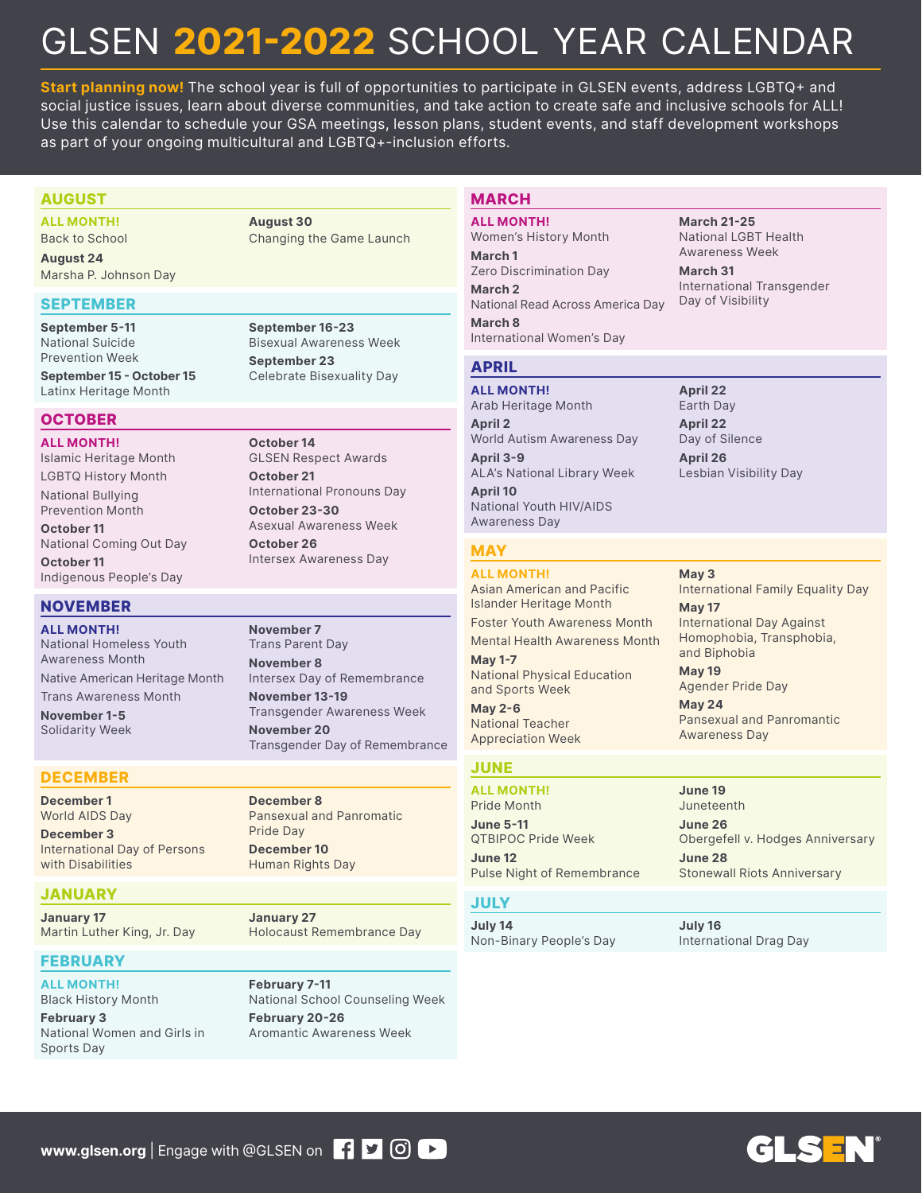# GLSEN **2021-2022** SCHOOL YEAR CALENDAR

**Start planning now!** The school year is full of opportunities to participate in GLSEN events, address LGBTQ+ and social justice issues, learn about diverse communities, and take action to create safe and inclusive schools for ALL! Use this calendar to schedule your GSA meetings, lesson plans, student events, and staff development workshops as part of your ongoing multicultural and LGBTQ+-inclusion efforts.

#### **AUGUST**

**ALL MONTH!** Back to School

**August 24**  Marsha P. Johnson Day

#### **SEPTEMBER**

**September 5-11**  National Suicide Prevention Week

**September 15 - October 15** Latinx Heritage Month

#### **OCTOBER**

**ALL MONTH!** Islamic Heritage Month LGBTQ History Month National Bullying Prevention Month

**October 11** National Coming Out Day **October 11**

Indigenous People's Day

#### **NOVEMBER**

**ALL MONTH!** National Homeless Youth Awareness Month Native American Heritage Month

Trans Awareness Month **November 1-5** Solidarity Week

#### **DECEMBER**

**December 1** World AIDS Day

**December 3** International Day of Persons with Disabilities

#### **JANUARY**

**January 17** Martin Luther King, Jr. Day

#### **FEBRUARY**

**ALL MONTH!** Black History Month **February 3**

National Women and Girls in Sports Day

**August 30**  Changing the Game Launch

**September 16-23** Bisexual Awareness Week **September 23** Celebrate Bisexuality Day

**October 14** GLSEN Respect Awards **October 21** International Pronouns Day **October 23-30**

Asexual Awareness Week **October 26**

Intersex Awareness Day

**November 7** Trans Parent Day **November 8** Intersex Day of Remembrance **November 13-19** Transgender Awareness Week **November 20** Transgender Day of Remembrance

**December 8** Pansexual and Panromatic Pride Day **December 10** Human Rights Day

**January 27** Holocaust Remembrance Day

**February 7-11** National School Counseling Week **February 20-26** Aromantic Awareness Week

#### **MARCH**

**ALL MONTH!** Women's History Month **March 1** Zero Discrimination Day **March 2** National Read Across America Day **March 8** International Women's Day

**March 21-25** National LGBT Health Awareness Week

**March 31** International Transgender Day of Visibility

#### **APRIL**

**ALL MONTH!** Arab Heritage Month **April 2** World Autism Awareness Day **April 3-9** ALA's National Library Week **April 10** National Youth HIV/AIDS Awareness Day

#### **MAY**

**ALL MONTH!** Asian American and Pacific Islander Heritage Month Foster Youth Awareness Month

Mental Health Awareness Month

**May 1-7** National Physical Education and Sports Week

**May 2-6** National Teacher Appreciation Week

#### **JUNE**

**ALL MONTH!** Pride Month **June 5-11** QTBIPOC Pride Week

**June 12** Pulse Night of Remembrance

#### **JULY**

**July 14** Non-Binary People's Day

**July 16** International Drag Day

**April 26** Lesbian Visibility Day

**April 22** Earth Day **April 22** Day of Silence

**May 3** International Family Equality Day **May 17** International Day Against Homophobia, Transphobia, and Biphobia

**May 19** Agender Pride Day

**May 24** Pansexual and Panromantic Awareness Day

**June 19** Juneteenth **June 26**

Obergefell v. Hodges Anniversary **June 28** Stonewall Riots Anniversary

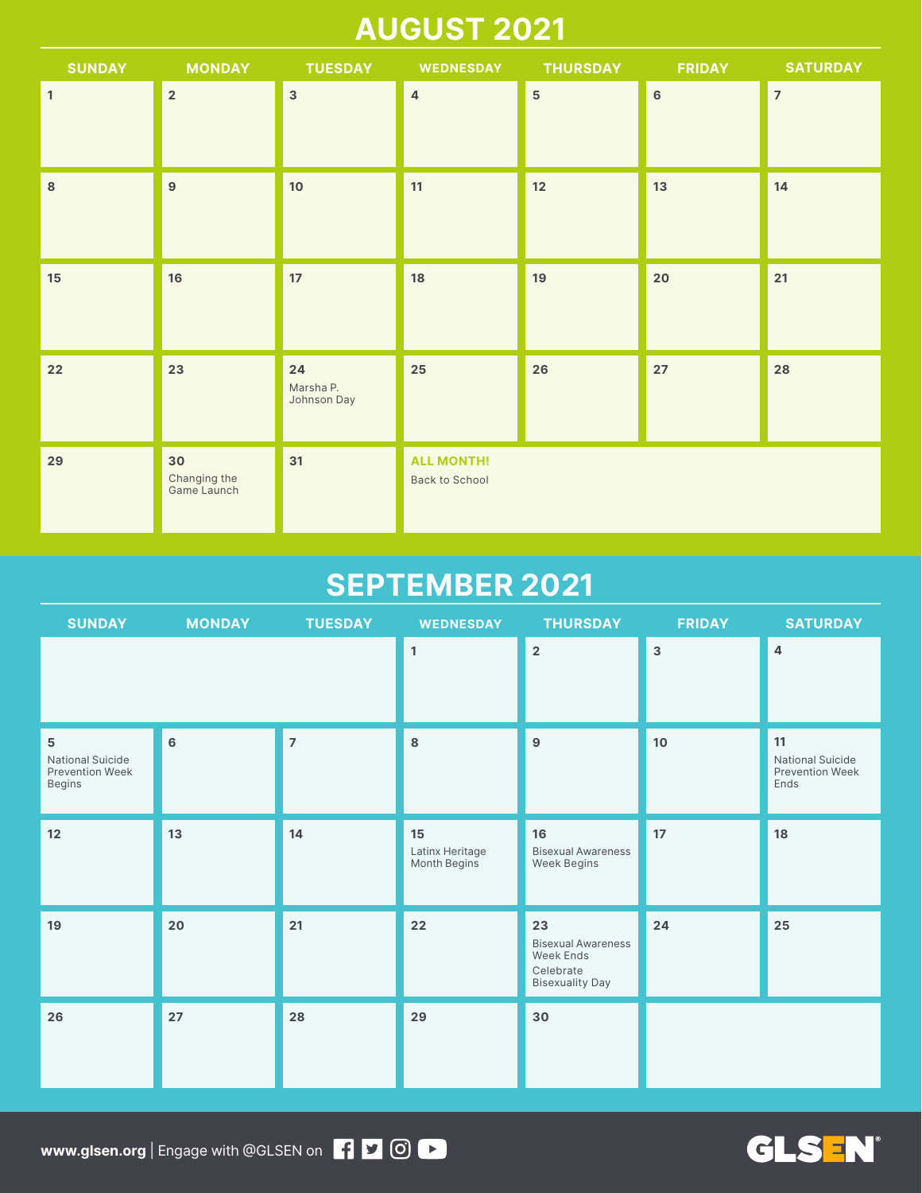### **AUGUST 2021**

| <b>SUNDAY</b>  | <b>MONDAY</b>                     | <b>TUESDAY</b>                 | <b>WEDNESDAY</b>                           | <b>THURSDAY</b> | <b>FRIDAY</b>  | <b>SATURDAY</b> |
|----------------|-----------------------------------|--------------------------------|--------------------------------------------|-----------------|----------------|-----------------|
| $\overline{1}$ | $\overline{2}$                    | $\overline{3}$                 | $\overline{4}$                             | $\overline{5}$  | $6\phantom{a}$ | $\overline{7}$  |
| $\bf{8}$       | 9                                 | $10$                           | 11                                         | 12              | 13             | 14              |
| 15             | 16                                | 17                             | 18                                         | 19              | 20             | 21              |
| 22             | 23                                | 24<br>Marsha P.<br>Johnson Day | 25                                         | 26              | 27             | 28              |
| 29             | 30<br>Changing the<br>Game Launch | 31                             | <b>ALL MONTH!</b><br><b>Back to School</b> |                 |                |                 |

### **SEPTEMBER 2021**

| <b>SUNDAY</b>                                                       | <b>MONDAY</b> | <b>TUESDAY</b> | <b>WEDNESDAY</b>                      | <b>THURSDAY</b>                                                                     | <b>FRIDAY</b> | <b>SATURDAY</b>                                                 |
|---------------------------------------------------------------------|---------------|----------------|---------------------------------------|-------------------------------------------------------------------------------------|---------------|-----------------------------------------------------------------|
|                                                                     |               |                | $\mathbf{1}$                          | $\overline{2}$                                                                      | $\mathbf{3}$  | $\overline{4}$                                                  |
| $\mathbf 5$<br><b>National Suicide</b><br>Prevention Week<br>Begins | 6             | $\overline{7}$ | $\bf8$                                | $\boldsymbol{9}$                                                                    | 10            | 11<br><b>National Suicide</b><br><b>Prevention Week</b><br>Ends |
| 12                                                                  | 13            | 14             | 15<br>Latinx Heritage<br>Month Begins | 16<br><b>Bisexual Awareness</b><br>Week Begins                                      | 17            | 18                                                              |
| 19                                                                  | 20            | 21             | 22                                    | 23<br><b>Bisexual Awareness</b><br>Week Ends<br>Celebrate<br><b>Bisexuality Day</b> | 24            | 25                                                              |
| 26                                                                  | 27            | 28             | 29                                    | 30                                                                                  |               |                                                                 |

**GLSEN®** 

**www.glsen.org** | Engage with @GLSEN on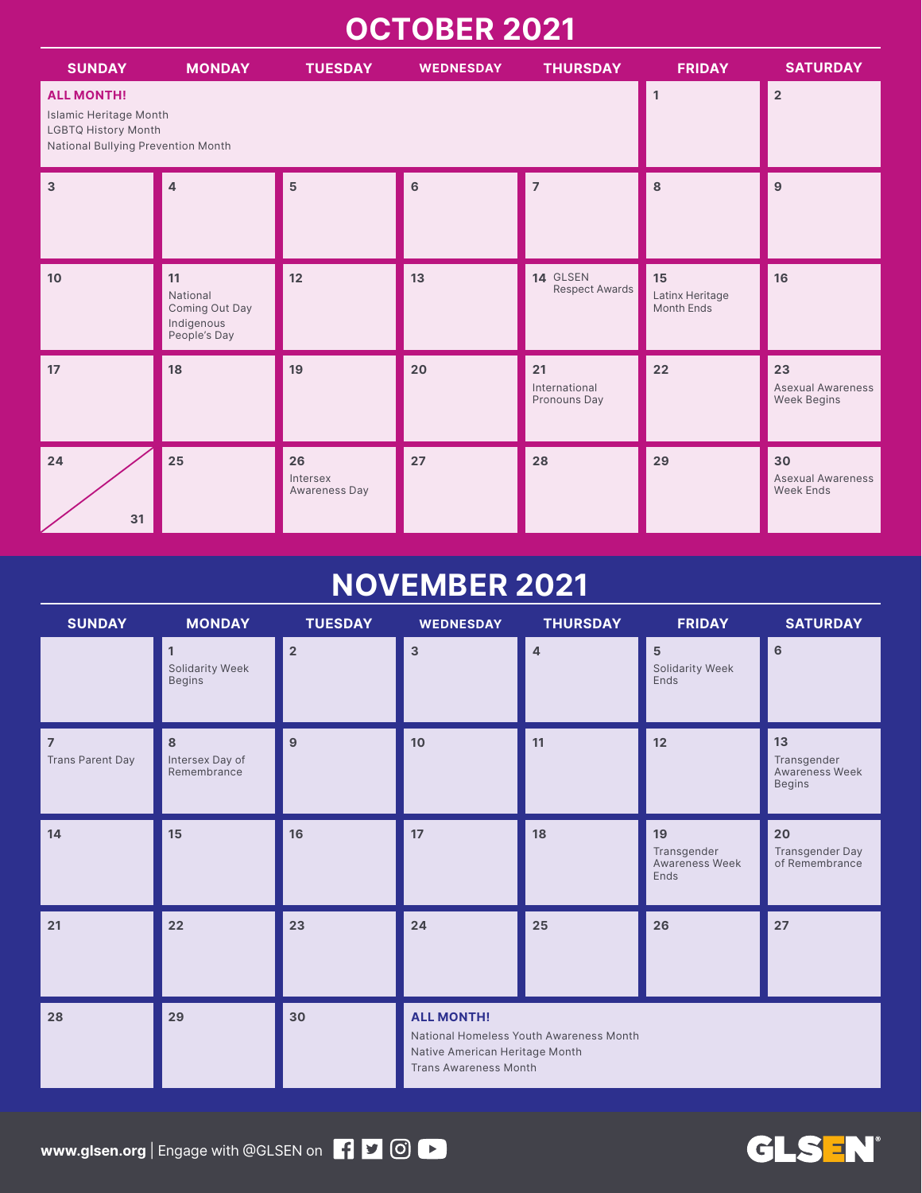### **OCTOBER 2021**

| <b>SUNDAY</b>                                                                                            | <b>MONDAY</b>                                                  | <b>TUESDAY</b>                  | <b>WEDNESDAY</b> | <b>THURSDAY</b>                     | <b>FRIDAY</b>                              | <b>SATURDAY</b>                                      |
|----------------------------------------------------------------------------------------------------------|----------------------------------------------------------------|---------------------------------|------------------|-------------------------------------|--------------------------------------------|------------------------------------------------------|
| <b>ALL MONTH!</b><br>Islamic Heritage Month<br>LGBTQ History Month<br>National Bullying Prevention Month |                                                                | $\mathbf{1}$                    | $\overline{2}$   |                                     |                                            |                                                      |
| $\overline{3}$                                                                                           | Δ                                                              | $5\phantom{1}$                  | $6\phantom{a}$   | $\overline{7}$                      | 8                                          | 9                                                    |
| 10                                                                                                       | 11<br>National<br>Coming Out Day<br>Indigenous<br>People's Day | 12                              | 13               | 14 GLSEN<br><b>Respect Awards</b>   | 15<br>Latinx Heritage<br><b>Month Ends</b> | 16                                                   |
| 17                                                                                                       | 18                                                             | 19                              | 20               | 21<br>International<br>Pronouns Day | 22                                         | 23<br><b>Asexual Awareness</b><br><b>Week Begins</b> |
| 24<br>31                                                                                                 | 25                                                             | 26<br>Intersex<br>Awareness Day | 27               | 28                                  | 29                                         | 30<br><b>Asexual Awareness</b><br><b>Week Ends</b>   |

### **NOVEMBER 2021**

| <b>SUNDAY</b>                      | <b>MONDAY</b>                         | <b>TUESDAY</b> | <b>WEDNESDAY</b>                                                                    | <b>THURSDAY</b>                         | <b>FRIDAY</b>                               | <b>SATURDAY</b>                                      |
|------------------------------------|---------------------------------------|----------------|-------------------------------------------------------------------------------------|-----------------------------------------|---------------------------------------------|------------------------------------------------------|
|                                    | 1<br>Solidarity Week<br><b>Begins</b> | $\overline{2}$ | $\mathbf{3}$                                                                        | 4                                       | 5<br>Solidarity Week<br>Ends                | 6                                                    |
| $\overline{7}$<br>Trans Parent Day | 8<br>Intersex Day of<br>Remembrance   | 9              | 10                                                                                  | 11                                      | 12                                          | 13<br>Transgender<br>Awareness Week<br><b>Begins</b> |
| 14                                 | 15                                    | 16             | 17                                                                                  | 18                                      | 19<br>Transgender<br>Awareness Week<br>Ends | 20<br>Transgender Day<br>of Remembrance              |
| 21                                 | 22                                    | 23             | 24                                                                                  | 25                                      | 26                                          | 27                                                   |
| 28                                 | 29                                    | 30             | <b>ALL MONTH!</b><br>Native American Heritage Month<br><b>Trans Awareness Month</b> | National Homeless Youth Awareness Month |                                             |                                                      |

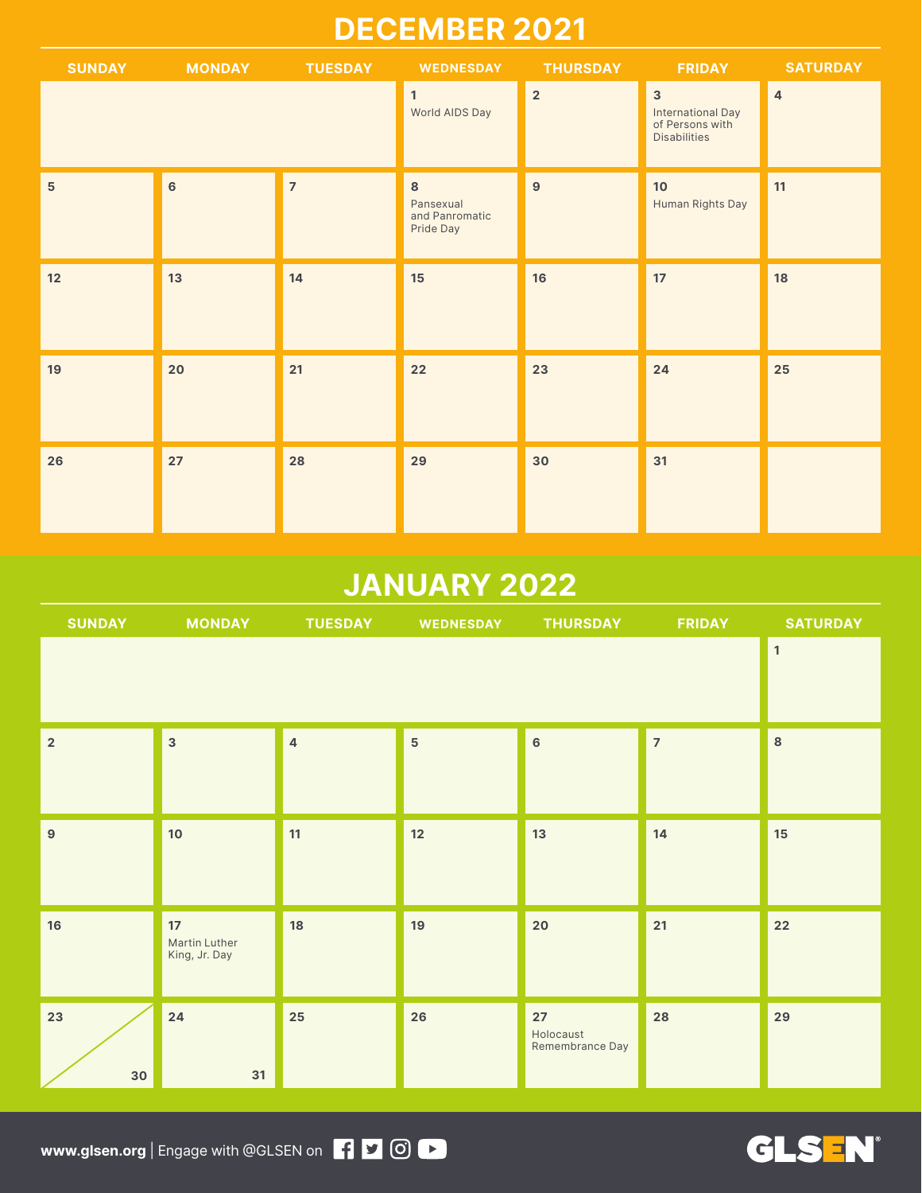### **DECEMBER 2021**

| <b>SUNDAY</b>  | <b>MONDAY</b><br><b>Service Service</b> | <b>TUESDAY</b> | <b>WEDNESDAY</b>                              | <b>THURSDAY</b> | <b>FRIDAY</b>                                                                          | <b>SATURDAY</b> |
|----------------|-----------------------------------------|----------------|-----------------------------------------------|-----------------|----------------------------------------------------------------------------------------|-----------------|
|                |                                         |                | $\mathbf{1}$<br>World AIDS Day                | $\overline{2}$  | $\overline{\mathbf{3}}$<br>International Day<br>of Persons with<br><b>Disabilities</b> | $\sqrt{4}$      |
| $5\phantom{1}$ | $6\phantom{a}$                          | $\overline{7}$ | 8<br>Pansexual<br>and Panromatic<br>Pride Day | $\overline{9}$  | 10 <sub>o</sub><br>Human Rights Day                                                    | 11              |
| 12             | 13                                      | 14             | 15                                            | 16              | 17                                                                                     | 18              |
| 19             | 20                                      | 21             | 22                                            | 23              | 24                                                                                     | 25              |
| 26             | 27                                      | 28             | 29                                            | 30              | 31                                                                                     |                 |

### **JANUARY 2022**

| <b>SUNDAY</b>    | <b>Service Service</b>                                    | MONDAY TUESDAY WEDNESDAY |                | <b>THURSDAY</b>                      | <b>FRIDAY</b>  | <b>SATURDAY</b> |
|------------------|-----------------------------------------------------------|--------------------------|----------------|--------------------------------------|----------------|-----------------|
|                  |                                                           |                          |                |                                      |                | $\mathbf 1$     |
| $\overline{2}$   | $\overline{3}$                                            | $\overline{4}$           | $\overline{5}$ | $6\phantom{a}$                       | $\overline{7}$ | $\bf8$          |
| $\boldsymbol{9}$ | 10                                                        | 11                       | 12             | 13                                   | 14             | $15\,$          |
| 16               | 17 <sup>17</sup><br><b>Martin Luther</b><br>King, Jr. Day | 18                       | 19             | 20                                   | 21             | 22              |
| 23<br>30         | 24<br>31                                                  | 25                       | 26             | $27$<br>Holocaust<br>Remembrance Day | 28             | 29              |

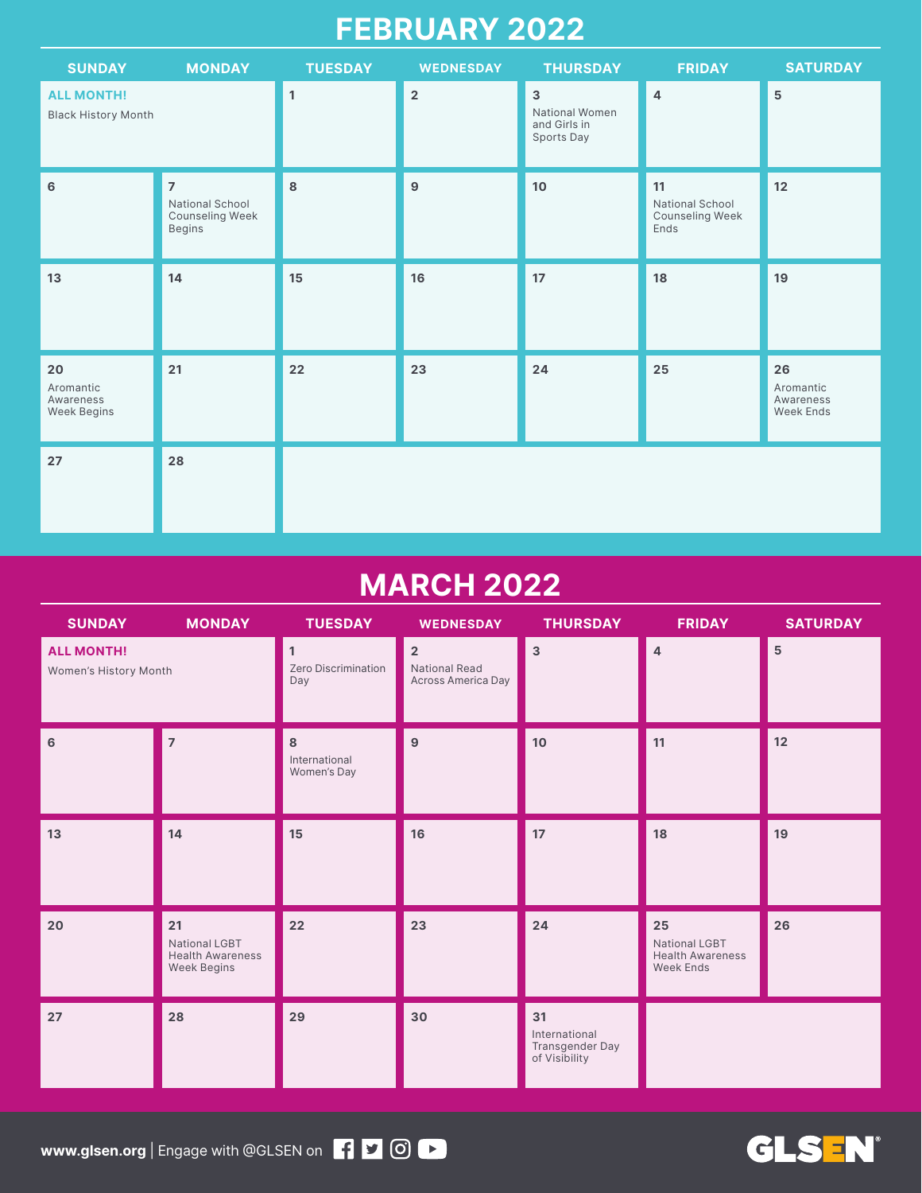### **FEBRUARY 2022**

| <b>SUNDAY</b>                                      | <b>MONDAY</b>                                                         | <b>TUESDAY</b> | <b>WEDNESDAY</b> | <b>THURSDAY</b>                                              | <b>FRIDAY</b>                                           | <b>SATURDAY</b>                           |
|----------------------------------------------------|-----------------------------------------------------------------------|----------------|------------------|--------------------------------------------------------------|---------------------------------------------------------|-------------------------------------------|
| <b>ALL MONTH!</b><br><b>Black History Month</b>    |                                                                       | $\mathbf{1}$   | $\overline{2}$   | $\mathbf{3}$<br>National Women<br>and Girls in<br>Sports Day | $\overline{4}$                                          | 5                                         |
| 6                                                  | $\overline{7}$<br>National School<br>Counseling Week<br><b>Begins</b> | 8              | 9                | 10                                                           | 11<br>National School<br><b>Counseling Week</b><br>Ends | 12                                        |
| 13                                                 | 14                                                                    | 15             | 16               | 17                                                           | 18                                                      | 19                                        |
| 20<br>Aromantic<br>Awareness<br><b>Week Begins</b> | 21                                                                    | 22             | 23               | 24                                                           | 25                                                      | 26<br>Aromantic<br>Awareness<br>Week Ends |
| 27                                                 | 28                                                                    |                |                  |                                                              |                                                         |                                           |

### **MARCH 2022**

| <b>SUNDAY</b>                              | <b>MONDAY</b>                                                        | <b>TUESDAY</b>                    | <b>WEDNESDAY</b>                                             | <b>THURSDAY</b>                                         | <b>FRIDAY</b>                                               | <b>SATURDAY</b> |
|--------------------------------------------|----------------------------------------------------------------------|-----------------------------------|--------------------------------------------------------------|---------------------------------------------------------|-------------------------------------------------------------|-----------------|
| <b>ALL MONTH!</b><br>Women's History Month |                                                                      | 1<br>Zero Discrimination<br>Day   | $\overline{2}$<br><b>National Read</b><br>Across America Day | $\mathsf 3$                                             | $\overline{4}$                                              | $\overline{5}$  |
| 6                                          | $\overline{7}$                                                       | 8<br>International<br>Women's Day | 9                                                            | 10 <sub>1</sub>                                         | 11                                                          | 12              |
| 13                                         | 14                                                                   | 15                                | 16                                                           | 17                                                      | 18                                                          | 19              |
| 20                                         | 21<br>National LGBT<br><b>Health Awareness</b><br><b>Week Begins</b> | 22                                | 23                                                           | 24                                                      | 25<br>National LGBT<br><b>Health Awareness</b><br>Week Ends | 26              |
| $27\,$                                     | 28                                                                   | 29                                | 30                                                           | 31<br>International<br>Transgender Day<br>of Visibility |                                                             |                 |

**GLS EN®** 

**www.glsen.org** | Engage with @GLSEN on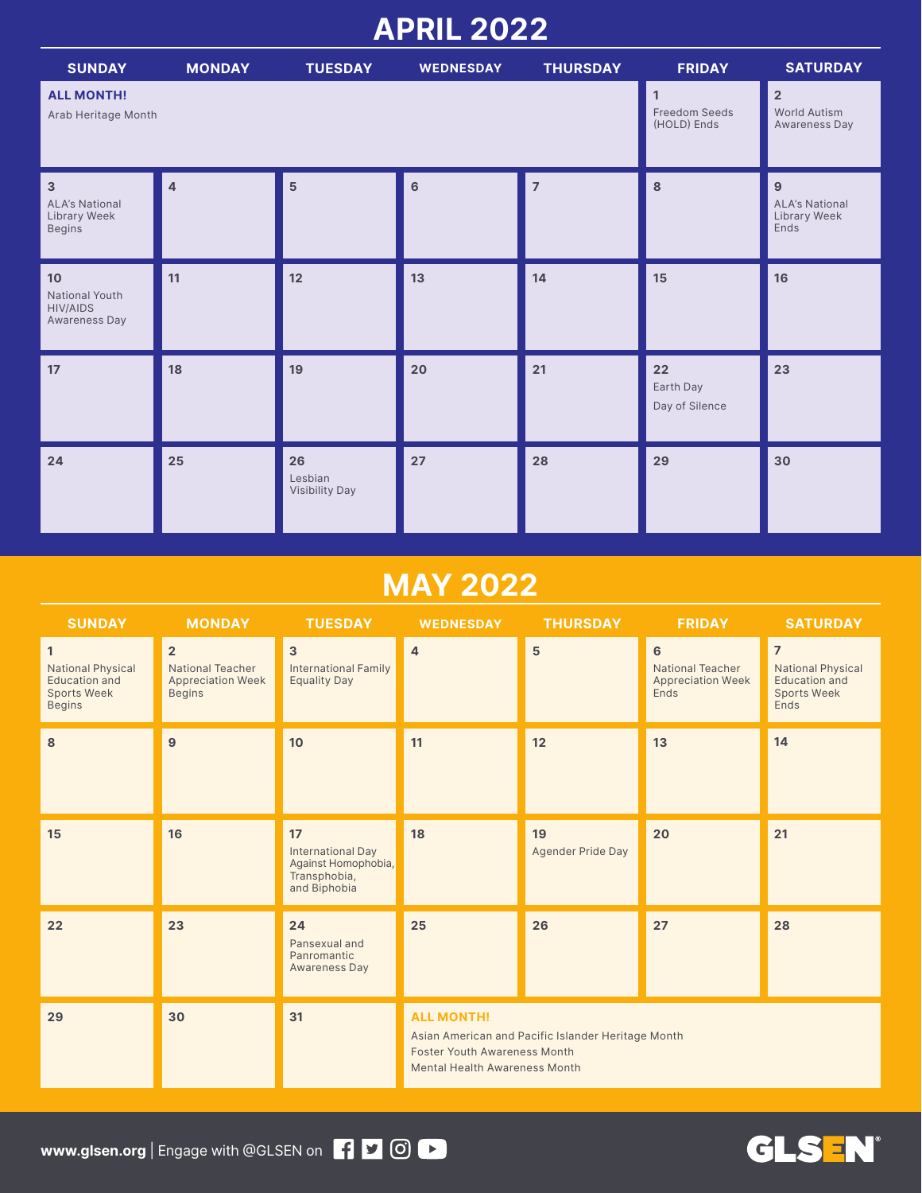### **APRIL 2022**

| <b>SUNDAY</b>                                                            | <b>MONDAY</b>  | <b>TUESDAY</b>                                      | <b>WEDNESDAY</b>                                | <b>THURSDAY</b> | <b>FRIDAY</b>                     | <b>SATURDAY</b>                                    |
|--------------------------------------------------------------------------|----------------|-----------------------------------------------------|-------------------------------------------------|-----------------|-----------------------------------|----------------------------------------------------|
| <b>ALL MONTH!</b><br>Arab Heritage Month                                 |                | $\mathbf{1}$<br><b>Freedom Seeds</b><br>(HOLD) Ends | $\overline{2}$<br>World Autism<br>Awareness Day |                 |                                   |                                                    |
| $\overline{3}$<br><b>ALA's National</b><br>Library Week<br><b>Begins</b> | $\overline{4}$ | 5                                                   | 6                                               | $\overline{7}$  | 8                                 | 9<br><b>ALA's National</b><br>Library Week<br>Ends |
| 10<br>National Youth<br><b>HIV/AIDS</b><br>Awareness Day                 | 11             | 12                                                  | 13                                              | 14              | 15                                | 16                                                 |
| 17                                                                       | 18             | 19                                                  | 20                                              | 21              | 22<br>Earth Day<br>Day of Silence | 23                                                 |
| 24                                                                       | 25             | 26<br>Lesbian<br><b>Visibility Day</b>              | 27                                              | 28              | 29                                | 30                                                 |

### **MAY 2022**

| <b>SUNDAY</b>                                                                                    | <b>MONDAY</b>                                                                          | <b>TUESDAY</b>                                                                        | <b>WEDNESDAY</b>                                                                                                                                       | <b>THURSDAY</b>                | <b>FRIDAY</b>                                                                        | <b>SATURDAY</b>                                                                                  |  |
|--------------------------------------------------------------------------------------------------|----------------------------------------------------------------------------------------|---------------------------------------------------------------------------------------|--------------------------------------------------------------------------------------------------------------------------------------------------------|--------------------------------|--------------------------------------------------------------------------------------|--------------------------------------------------------------------------------------------------|--|
| $\mathbf{1}$<br><b>National Physical</b><br>Education and<br><b>Sports Week</b><br><b>Begins</b> | $\overline{2}$<br><b>National Teacher</b><br><b>Appreciation Week</b><br><b>Begins</b> | $\mathbf{3}$<br><b>International Family</b><br><b>Equality Day</b>                    | $\overline{4}$                                                                                                                                         | 5                              | $6\phantom{1}$<br><b>National Teacher</b><br><b>Appreciation Week</b><br><b>Ends</b> | $\overline{7}$<br><b>National Physical</b><br>Education and<br><b>Sports Week</b><br><b>Ends</b> |  |
| 8                                                                                                | $\mathbf{9}$                                                                           | 10                                                                                    | 11                                                                                                                                                     | 12                             | 13                                                                                   | 14                                                                                               |  |
| 15                                                                                               | 16                                                                                     | 17<br><b>International Day</b><br>Against Homophobia,<br>Transphobia,<br>and Biphobia | 18                                                                                                                                                     | 19<br><b>Agender Pride Day</b> | 20                                                                                   | 21                                                                                               |  |
| 22                                                                                               | 23                                                                                     | 24<br>Pansexual and<br>Panromantic<br><b>Awareness Day</b>                            | 25                                                                                                                                                     | 26                             | 27                                                                                   | 28                                                                                               |  |
| 29                                                                                               | 30                                                                                     | 31                                                                                    | <b>ALL MONTH!</b><br>Asian American and Pacific Islander Heritage Month<br><b>Foster Youth Awareness Month</b><br><b>Mental Health Awareness Month</b> |                                |                                                                                      |                                                                                                  |  |